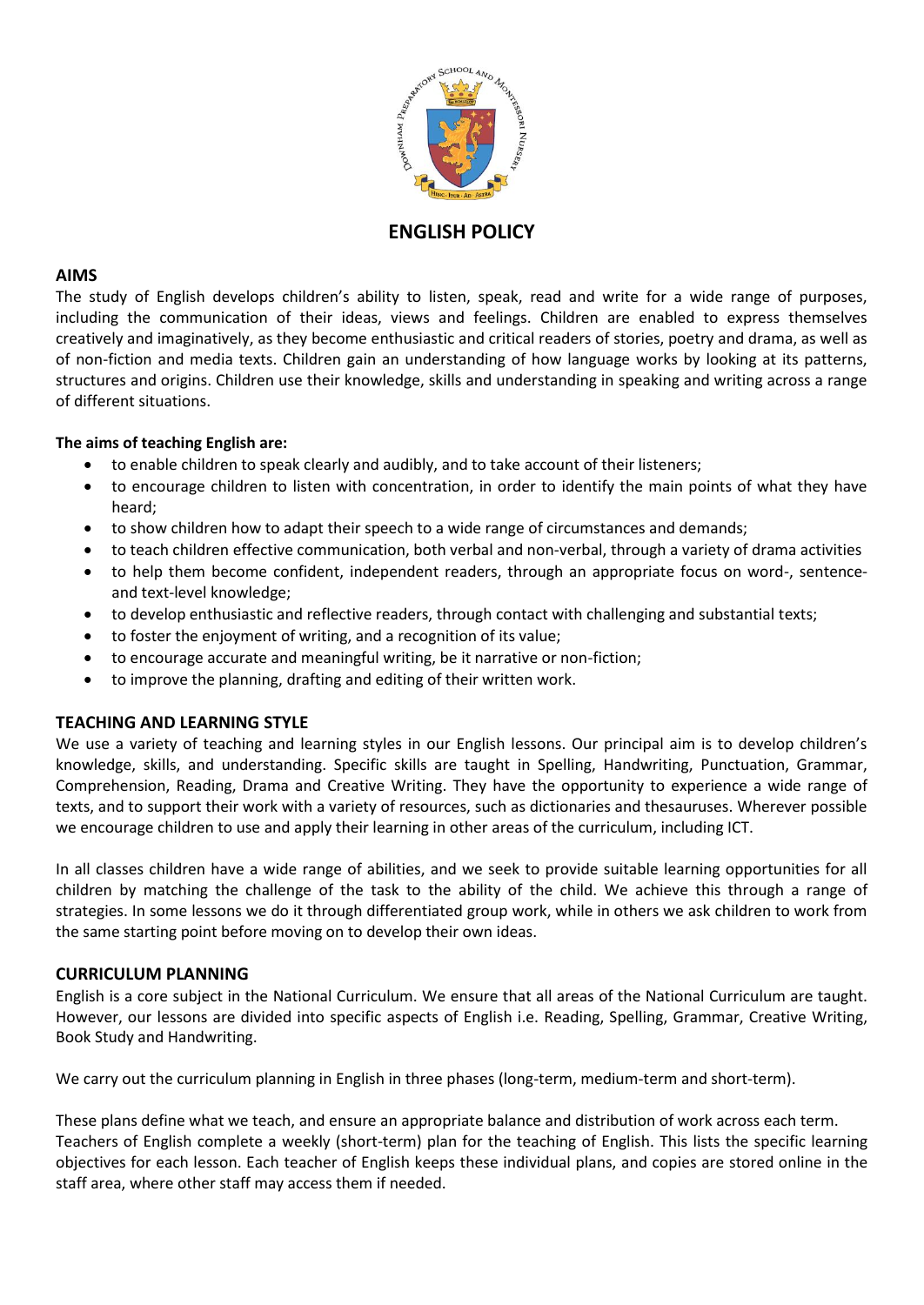

# **ENGLISH POLICY**

## **AIMS**

The study of English develops children's ability to listen, speak, read and write for a wide range of purposes, including the communication of their ideas, views and feelings. Children are enabled to express themselves creatively and imaginatively, as they become enthusiastic and critical readers of stories, poetry and drama, as well as of non-fiction and media texts. Children gain an understanding of how language works by looking at its patterns, structures and origins. Children use their knowledge, skills and understanding in speaking and writing across a range of different situations.

## **The aims of teaching English are:**

- to enable children to speak clearly and audibly, and to take account of their listeners;
- to encourage children to listen with concentration, in order to identify the main points of what they have heard;
- to show children how to adapt their speech to a wide range of circumstances and demands;
- to teach children effective communication, both verbal and non-verbal, through a variety of drama activities
- to help them become confident, independent readers, through an appropriate focus on word-, sentenceand text-level knowledge;
- to develop enthusiastic and reflective readers, through contact with challenging and substantial texts;
- to foster the enjoyment of writing, and a recognition of its value;
- to encourage accurate and meaningful writing, be it narrative or non-fiction;
- to improve the planning, drafting and editing of their written work.

## **TEACHING AND LEARNING STYLE**

We use a variety of teaching and learning styles in our English lessons. Our principal aim is to develop children's knowledge, skills, and understanding. Specific skills are taught in Spelling, Handwriting, Punctuation, Grammar, Comprehension, Reading, Drama and Creative Writing. They have the opportunity to experience a wide range of texts, and to support their work with a variety of resources, such as dictionaries and thesauruses. Wherever possible we encourage children to use and apply their learning in other areas of the curriculum, including ICT.

In all classes children have a wide range of abilities, and we seek to provide suitable learning opportunities for all children by matching the challenge of the task to the ability of the child. We achieve this through a range of strategies. In some lessons we do it through differentiated group work, while in others we ask children to work from the same starting point before moving on to develop their own ideas.

### **CURRICULUM PLANNING**

English is a core subject in the National Curriculum. We ensure that all areas of the National Curriculum are taught. However, our lessons are divided into specific aspects of English i.e. Reading, Spelling, Grammar, Creative Writing, Book Study and Handwriting.

We carry out the curriculum planning in English in three phases (long-term, medium-term and short-term).

These plans define what we teach, and ensure an appropriate balance and distribution of work across each term. Teachers of English complete a weekly (short-term) plan for the teaching of English. This lists the specific learning objectives for each lesson. Each teacher of English keeps these individual plans, and copies are stored online in the staff area, where other staff may access them if needed.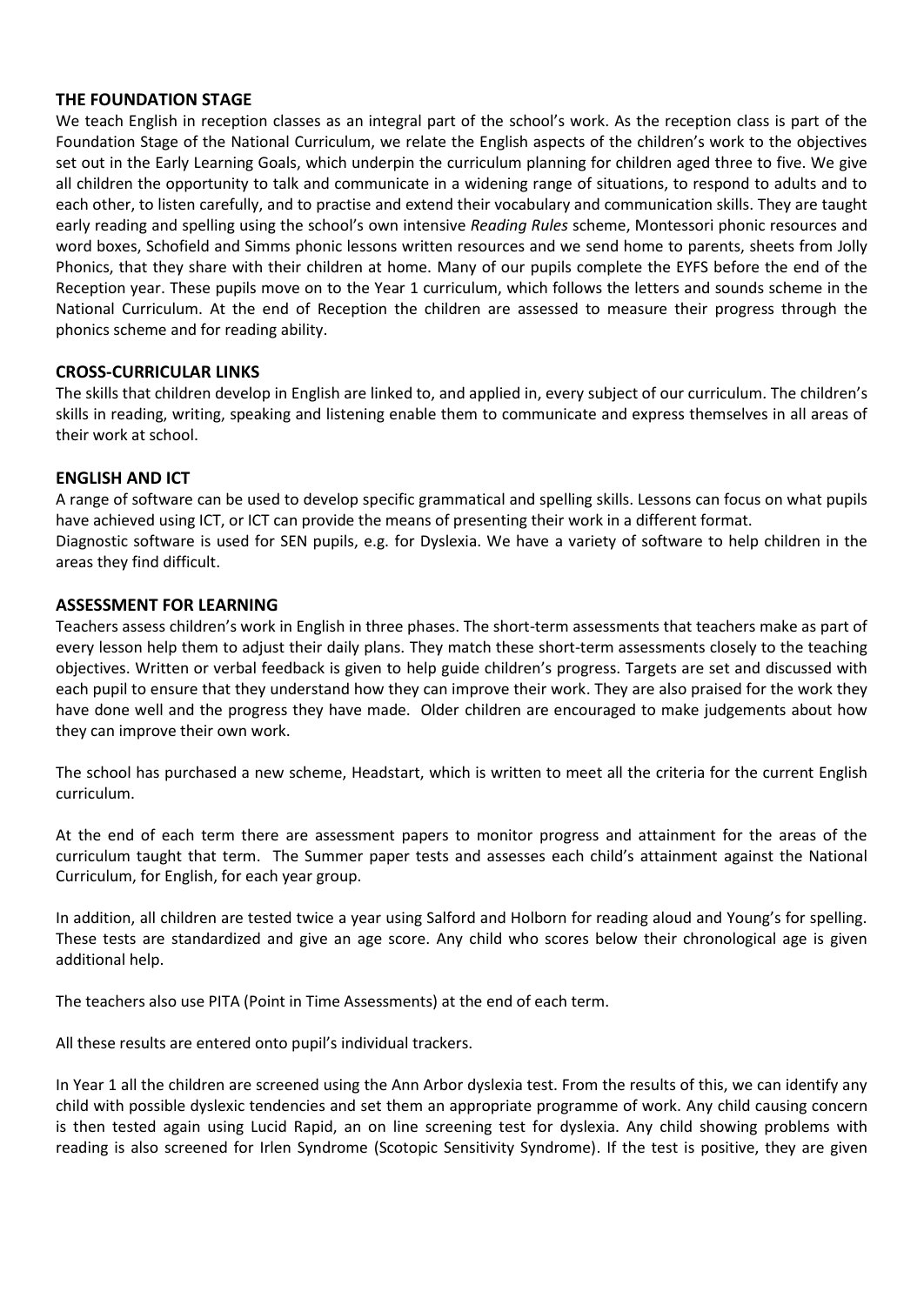## **THE FOUNDATION STAGE**

We teach English in reception classes as an integral part of the school's work. As the reception class is part of the Foundation Stage of the National Curriculum, we relate the English aspects of the children's work to the objectives set out in the Early Learning Goals, which underpin the curriculum planning for children aged three to five. We give all children the opportunity to talk and communicate in a widening range of situations, to respond to adults and to each other, to listen carefully, and to practise and extend their vocabulary and communication skills. They are taught early reading and spelling using the school's own intensive *Reading Rules* scheme, Montessori phonic resources and word boxes, Schofield and Simms phonic lessons written resources and we send home to parents, sheets from Jolly Phonics, that they share with their children at home. Many of our pupils complete the EYFS before the end of the Reception year. These pupils move on to the Year 1 curriculum, which follows the letters and sounds scheme in the National Curriculum. At the end of Reception the children are assessed to measure their progress through the phonics scheme and for reading ability.

### **CROSS-CURRICULAR LINKS**

The skills that children develop in English are linked to, and applied in, every subject of our curriculum. The children's skills in reading, writing, speaking and listening enable them to communicate and express themselves in all areas of their work at school.

## **ENGLISH AND ICT**

A range of software can be used to develop specific grammatical and spelling skills. Lessons can focus on what pupils have achieved using ICT, or ICT can provide the means of presenting their work in a different format. Diagnostic software is used for SEN pupils, e.g. for Dyslexia. We have a variety of software to help children in the areas they find difficult.

### **ASSESSMENT FOR LEARNING**

Teachers assess children's work in English in three phases. The short-term assessments that teachers make as part of every lesson help them to adjust their daily plans. They match these short-term assessments closely to the teaching objectives. Written or verbal feedback is given to help guide children's progress. Targets are set and discussed with each pupil to ensure that they understand how they can improve their work. They are also praised for the work they have done well and the progress they have made. Older children are encouraged to make judgements about how they can improve their own work.

The school has purchased a new scheme, Headstart, which is written to meet all the criteria for the current English curriculum.

At the end of each term there are assessment papers to monitor progress and attainment for the areas of the curriculum taught that term. The Summer paper tests and assesses each child's attainment against the National Curriculum, for English, for each year group.

In addition, all children are tested twice a year using Salford and Holborn for reading aloud and Young's for spelling. These tests are standardized and give an age score. Any child who scores below their chronological age is given additional help.

The teachers also use PITA (Point in Time Assessments) at the end of each term.

All these results are entered onto pupil's individual trackers.

In Year 1 all the children are screened using the Ann Arbor dyslexia test. From the results of this, we can identify any child with possible dyslexic tendencies and set them an appropriate programme of work. Any child causing concern is then tested again using Lucid Rapid, an on line screening test for dyslexia. Any child showing problems with reading is also screened for Irlen Syndrome (Scotopic Sensitivity Syndrome). If the test is positive, they are given